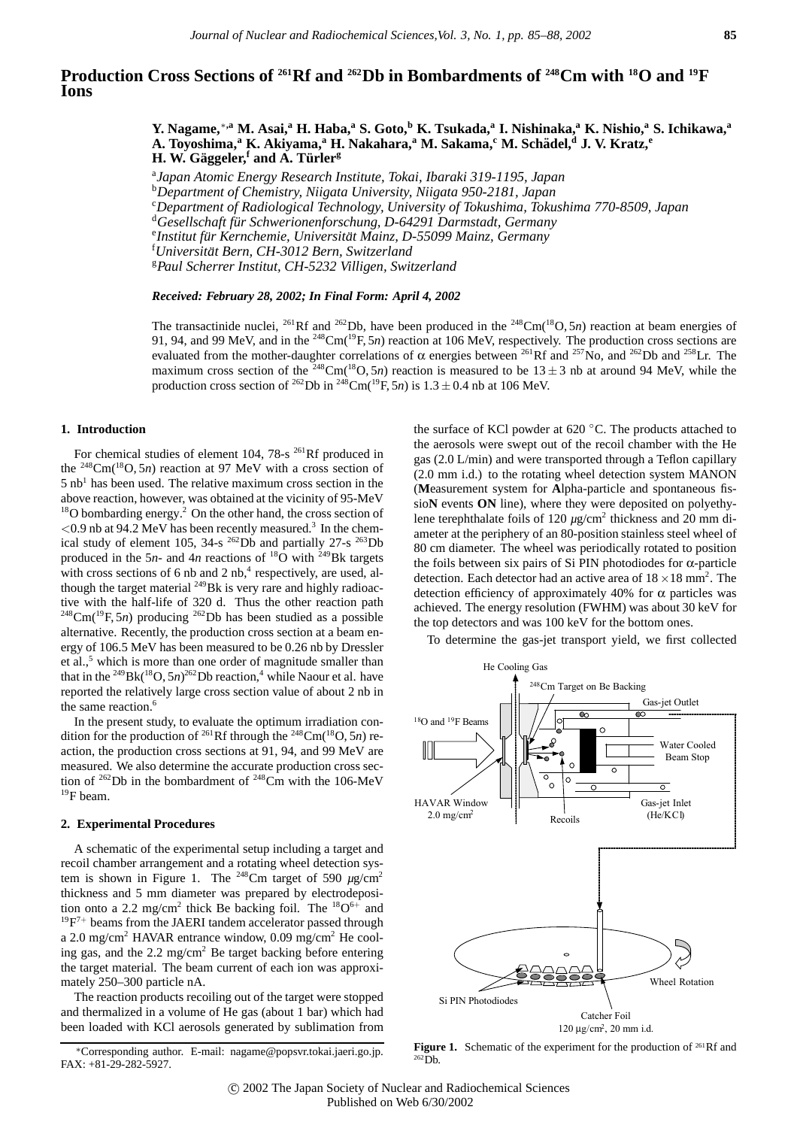# **Production Cross Sections of 261Rf and 262Db in Bombardments of 248Cm with 18O and 19F Ions**

**Y. Nagame,**∗**,a M. Asai,<sup>a</sup> H. Haba,<sup>a</sup> S. Goto,<sup>b</sup> K. Tsukada,a I. Nishinaka,a K. Nishio,a S. Ichikawa,<sup>a</sup> A. Toyoshima,<sup>a</sup> K. Akiyama,<sup>a</sup> H. Nakahara,<sup>a</sup> M. Sakama,<sup>c</sup> M. Schadel, ¨ <sup>d</sup> J. V. Kratz,<sup>e</sup> H. W. Gäggeler,<sup>***f***</sup> and A. Türler<sup>g</sup></del>** 

a *Japan Atomic Energy Research Institute, Tokai, Ibaraki 319-1195, Japan* b *Department of Chemistry, Niigata University, Niigata 950-2181, Japan* c *Department of Radiological Technology, University of Tokushima, Tokushima 770-8509, Japan* <sup>d</sup>*Gesellschaft fur Schwerionenforschung, D-64291 Darmstadt, Germany ¨* <sup>e</sup>

*Universitat Bern, CH-3012 Bern, Switzerland ¨* <sup>g</sup>*Paul Scherrer Institut, CH-5232 Villigen, Switzerland*

# *Received: February 28, 2002; In Final Form: April 4, 2002*

The transactinide nuclei, <sup>261</sup>Rf and <sup>262</sup>Db, have been produced in the <sup>248</sup>Cm(<sup>18</sup>O, 5*n*) reaction at beam energies of 91, 94, and 99 MeV, and in the <sup>248</sup>Cm(<sup>19</sup>F, 5*n*) reaction at 106 MeV, respectively. The production cross sections are evaluated from the mother-daughter correlations of  $\alpha$  energies between <sup>261</sup>Rf and <sup>257</sup>No, and <sup>262</sup>Db and <sup>258</sup>Lr. The maximum cross section of the <sup>248</sup>Cm(<sup>18</sup>O, 5*n*) reaction is measured to be  $13 \pm 3$  nb at around 94 MeV, while the production cross section of <sup>262</sup>Db in <sup>248</sup>Cm(<sup>19</sup>F, 5*n*) is  $1.3 \pm 0.4$  nb at 106 MeV.

# **1. Introduction**

For chemical studies of element  $104$ ,  $78\text{-}s$   $^{261}$ Rf produced in the  $248 \text{Cm}$ <sup>(18</sup>O, 5*n*) reaction at 97 MeV with a cross section of  $5$  nb<sup>1</sup> has been used. The relative maximum cross section in the above reaction, however, was obtained at the vicinity of 95-MeV <sup>18</sup>O bombarding energy.<sup>2</sup> On the other hand, the cross section of *<*0.9 nb at 94.2 MeV has been recently measured.3 In the chemical study of element 105, 34-s  $^{262}$ Db and partially 27-s  $^{263}$ Db produced in the 5*n*- and 4*n* reactions of  $^{18}$ O with <sup>249</sup>Bk targets with cross sections of 6 nb and 2 nb, $4$  respectively, are used, although the target material  $^{249}$ Bk is very rare and highly radioactive with the half-life of 320 d. Thus the other reaction path  $248$ Cm( $19$ F, 5*n*) producing  $262$ Db has been studied as a possible alternative. Recently, the production cross section at a beam energy of 106.5 MeV has been measured to be 0.26 nb by Dressler et al.,<sup>5</sup> which is more than one order of magnitude smaller than that in the <sup>249</sup>Bk( $18O$ , 5*n*)<sup>262</sup>Db reaction,<sup>4</sup> while Naour et al. have reported the relatively large cross section value of about 2 nb in the same reaction.<sup>6</sup>

In the present study, to evaluate the optimum irradiation condition for the production of <sup>261</sup>Rf through the <sup>248</sup>Cm(<sup>18</sup>O, 5*n*) reaction, the production cross sections at 91, 94, and 99 MeV are measured. We also determine the accurate production cross section of <sup>262</sup>Db in the bombardment of <sup>248</sup>Cm with the 106-MeV 19F beam.

#### **2. Experimental Procedures**

A schematic of the experimental setup including a target and recoil chamber arrangement and a rotating wheel detection system is shown in Figure 1. The <sup>248</sup>Cm target of 590  $\mu$ g/cm<sup>2</sup> thickness and 5 mm diameter was prepared by electrodeposition onto a 2.2 mg/cm<sup>2</sup> thick Be backing foil. The  ${}^{18}O^{6+}$  and  $19F<sup>7+</sup>$  beams from the JAERI tandem accelerator passed through a 2.0 mg/cm2 HAVAR entrance window, 0.09 mg/cm2 He cooling gas, and the 2.2 mg/cm2 Be target backing before entering the target material. The beam current of each ion was approximately 250–300 particle nA.

The reaction products recoiling out of the target were stopped and thermalized in a volume of He gas (about 1 bar) which had been loaded with KCl aerosols generated by sublimation from

the surface of KCl powder at  $620\degree$ C. The products attached to the aerosols were swept out of the recoil chamber with the He gas (2.0 L/min) and were transported through a Teflon capillary (2.0 mm i.d.) to the rotating wheel detection system MANON (**M**easurement system for **A**lpha-particle and spontaneous fissio**N** events **ON** line), where they were deposited on polyethylene terephthalate foils of 120 *µg*/cm<sup>2</sup> thickness and 20 mm diameter at the periphery of an 80-position stainless steel wheel of 80 cm diameter. The wheel was periodically rotated to position the foils between six pairs of Si PIN photodiodes for α-particle detection. Each detector had an active area of  $18 \times 18$  mm<sup>2</sup>. The detection efficiency of approximately 40% for  $\alpha$  particles was achieved. The energy resolution (FWHM) was about 30 keV for the top detectors and was 100 keV for the bottom ones.

To determine the gas-jet transport yield, we first collected



Figure 1. Schematic of the experiment for the production of <sup>261</sup>Rf and  $262\overline{D}h$ .

<sup>&</sup>lt;sup>e</sup>Institut für Kernchemie, Universität Mainz, D-55099 Mainz, Germany<br><sup>†</sup>Universität Bern, CH-3012 Bern, Switzerland

<sup>∗</sup>Corresponding author. E-mail: nagame@popsvr.tokai.jaeri.go.jp. FAX: +81-29-282-5927.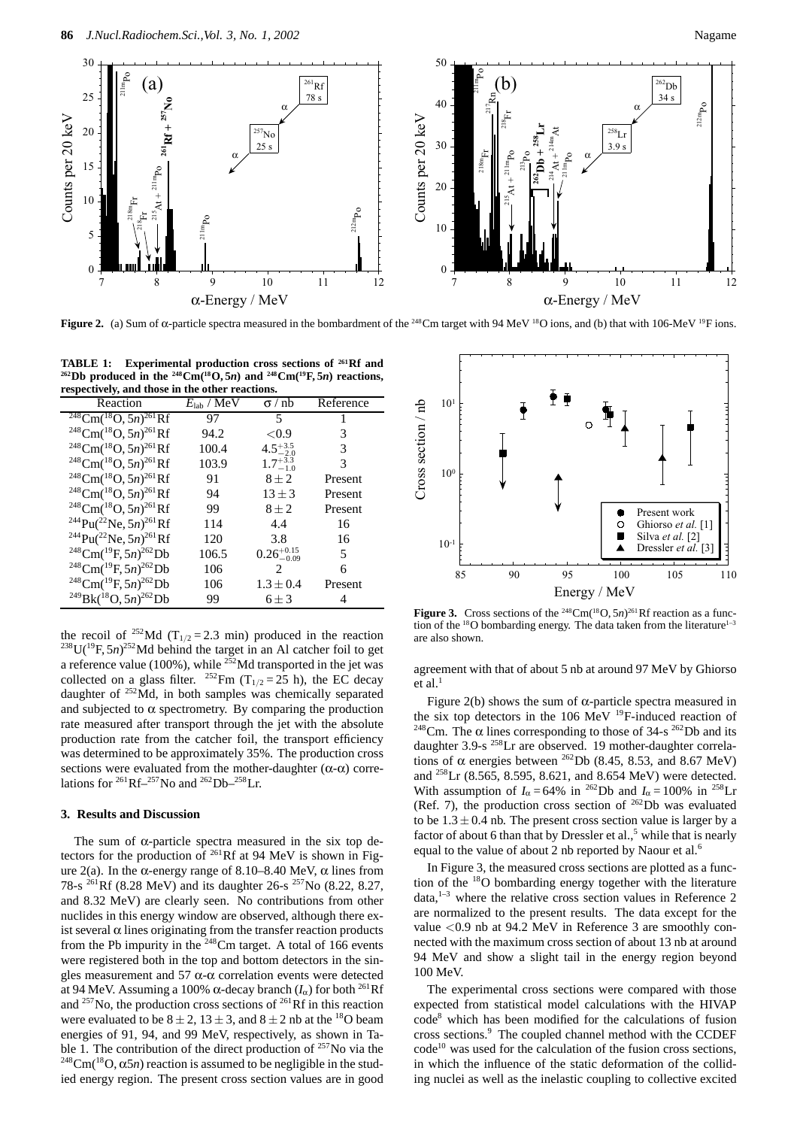

**Figure 2.** (a) Sum of α-particle spectra measured in the bombardment of the <sup>248</sup>Cm target with 94 MeV <sup>18</sup>O ions, and (b) that with 106-MeV <sup>19</sup>F ions.

**TABLE 1: Experimental production cross sections of 261Rf and**  $262$  Db produced in the  $248$  Cm<sup>(18</sup>O, 5*n*) and  $248$  Cm<sup>(19</sup>F, 5*n*) reactions, **respectively, and those in the other reactions.**

| $\epsilon$ especially, and those in                        |                                    |                             |           |  |
|------------------------------------------------------------|------------------------------------|-----------------------------|-----------|--|
| Reaction                                                   | $E_{\rm lab} / \overline{\rm MeV}$ | $\sigma$ / nb               | Reference |  |
| $^{248}$ Cm( $^{18}$ O, 5n) $^{261}$ Rf                    | 97                                 | 5                           |           |  |
| $^{248}$ Cm( $^{18}$ O, 5n) $^{261}$ Rf                    | 94.2                               | ${<}0.9$                    | 3         |  |
| $^{248}$ Cm( $^{18}$ O, 5n) $^{261}$ Rf                    | 100.4                              | $4.5^{+3.5}_{-2.0}$         | 3         |  |
| $^{248}$ Cm( $^{18}$ O, 5n) $^{261}$ Rf                    | 103.9                              | $1.7^{+3.3}_{-1.0}$         | 3         |  |
| $^{248}$ Cm( $^{18}$ O, 5n) $^{261}$ Rf                    | 91                                 | $8 \pm 2$                   | Present   |  |
| $^{248}$ Cm( $^{18}$ O, 5n) $^{261}$ Rf                    | 94                                 | $13 \pm 3$                  | Present   |  |
| $^{248}$ Cm( $^{18}$ O, 5n) $^{261}$ Rf                    | 99                                 | $8 + 2$                     | Present   |  |
| <sup>244</sup> Pu( <sup>22</sup> Ne, 5n) <sup>261</sup> Rf | 114                                | 4.4                         | 16        |  |
| <sup>244</sup> Pu( <sup>22</sup> Ne, 5n) <sup>261</sup> Rf | 120                                | 3.8                         | 16        |  |
| <sup>248</sup> Cm( <sup>19</sup> F, 5n) <sup>262</sup> Db  | 106.5                              | $0.26_{-0.09}^{+0.15}$      | 5         |  |
| $^{248}$ Cm( $^{19}$ F, 5n) $^{262}$ Db                    | 106                                | $\mathcal{D}_{\mathcal{L}}$ | 6         |  |
| $^{248}$ Cm( $^{19}$ F, 5n) $^{262}$ Db                    | 106                                | $1.3 + 0.4$                 | Present   |  |
| $^{249}Bk(^{18}O, 5n)^{262}Db$                             | 99                                 | $6 + 3$                     | 4         |  |

the recoil of <sup>252</sup>Md (T<sub>1/2</sub> = 2.3 min) produced in the reaction  $^{238}$ U(<sup>19</sup>F, 5*n*)<sup>252</sup>Md behind the target in an Al catcher foil to get a reference value (100%), while  $^{252}$ Md transported in the jet was collected on a glass filter. <sup>252</sup>Fm (T<sub>1/2</sub> = 25 h), the EC decay daughter of 252Md, in both samples was chemically separated and subjected to  $\alpha$  spectrometry. By comparing the production rate measured after transport through the jet with the absolute production rate from the catcher foil, the transport efficiency was determined to be approximately 35%. The production cross sections were evaluated from the mother-daughter  $(\alpha-\alpha)$  correlations for  ${}^{261}Rf-{}^{257}N$ o and  ${}^{262}Db-{}^{258}Lr$ .

#### **3. Results and Discussion**

The sum of  $\alpha$ -particle spectra measured in the six top detectors for the production of 261Rf at 94 MeV is shown in Figure 2(a). In the α-energy range of 8.10–8.40 MeV, α lines from 78-s <sup>261</sup>Rf (8.28 MeV) and its daughter 26-s <sup>257</sup>No (8.22, 8.27, and 8.32 MeV) are clearly seen. No contributions from other nuclides in this energy window are observed, although there exist several  $\alpha$  lines originating from the transfer reaction products from the Pb impurity in the  $248$ Cm target. A total of 166 events were registered both in the top and bottom detectors in the singles measurement and 57  $\alpha$ - $\alpha$  correlation events were detected at 94 MeV. Assuming a 100% α-decay branch  $(I<sub>α</sub>)$  for both <sup>261</sup>Rf and  $^{257}$ No, the production cross sections of  $^{261}$ Rf in this reaction were evaluated to be  $8 \pm 2$ ,  $13 \pm 3$ , and  $8 \pm 2$  nb at the <sup>18</sup>O beam energies of 91, 94, and 99 MeV, respectively, as shown in Table 1. The contribution of the direct production of  $257$ No via the <sup>248</sup>Cm(<sup>18</sup>O, α5*n*) reaction is assumed to be negligible in the studied energy region. The present cross section values are in good



**Figure 3.** Cross sections of the <sup>248</sup>Cm(<sup>18</sup>O, 5*n*)<sup>261</sup>Rf reaction as a function of the <sup>18</sup>O bombarding energy. The data taken from the literature<sup>1-3</sup> are also shown.

agreement with that of about 5 nb at around 97 MeV by Ghiorso et al. $<sup>1</sup>$ </sup>

Figure 2(b) shows the sum of  $\alpha$ -particle spectra measured in the six top detectors in the 106 MeV  $^{19}$ F-induced reaction of <sup>248</sup>Cm. The α lines corresponding to those of 34-s<sup>262</sup>Db and its daughter 3.9-s <sup>258</sup>Lr are observed. 19 mother-daughter correlations of  $\alpha$  energies between <sup>262</sup>Db (8.45, 8.53, and 8.67 MeV) and <sup>258</sup>Lr (8.565, 8.595, 8.621, and 8.654 MeV) were detected. With assumption of  $I_\alpha = 64\%$  in <sup>262</sup>Db and  $I_\alpha = 100\%$  in <sup>258</sup>Lr (Ref. 7), the production cross section of  $^{262}$ Db was evaluated to be  $1.3 \pm 0.4$  nb. The present cross section value is larger by a factor of about 6 than that by Dressler et al.,<sup>5</sup> while that is nearly equal to the value of about 2 nb reported by Naour et al.<sup>6</sup>

In Figure 3, the measured cross sections are plotted as a function of the  $18$ O bombarding energy together with the literature data, $1-3$  where the relative cross section values in Reference 2 are normalized to the present results. The data except for the value *<*0.9 nb at 94.2 MeV in Reference 3 are smoothly connected with the maximum cross section of about 13 nb at around 94 MeV and show a slight tail in the energy region beyond 100 MeV.

The experimental cross sections were compared with those expected from statistical model calculations with the HIVAP code8 which has been modified for the calculations of fusion cross sections.<sup>9</sup> The coupled channel method with the CCDEF  $code<sup>10</sup>$  was used for the calculation of the fusion cross sections, in which the influence of the static deformation of the colliding nuclei as well as the inelastic coupling to collective excited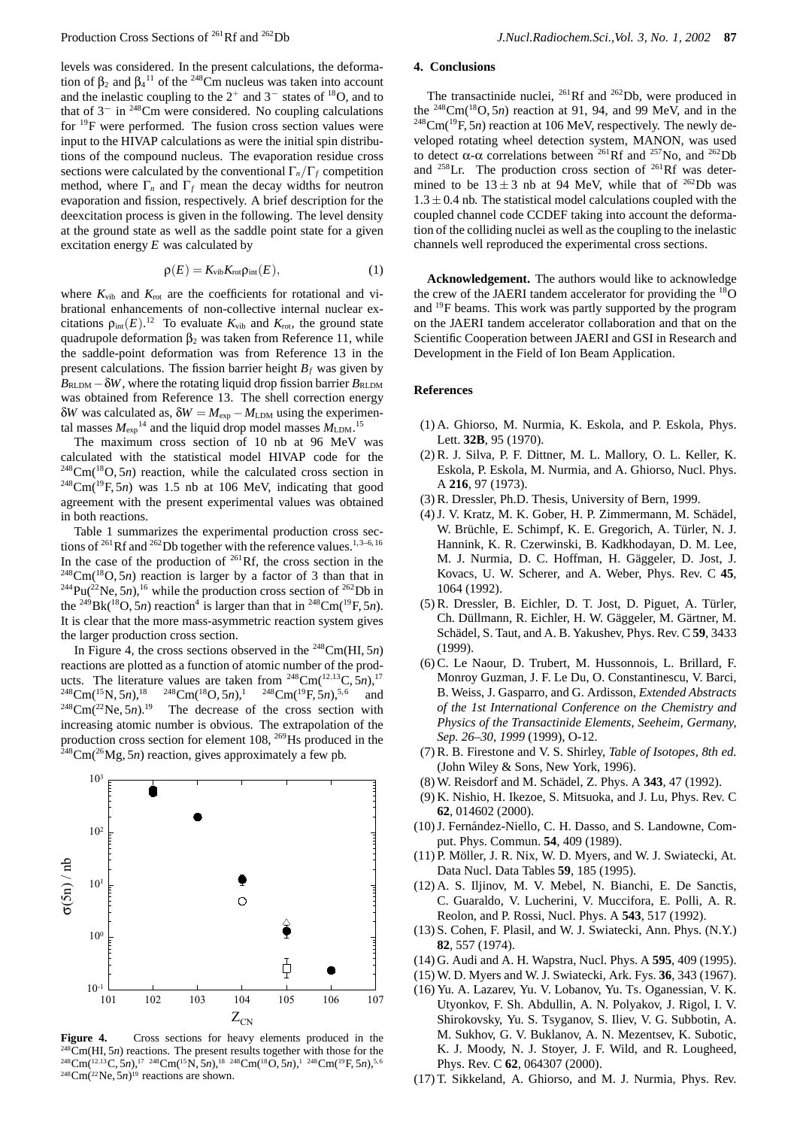levels was considered. In the present calculations, the deformation of  $\beta_2$  and  $\beta_4$ <sup>11</sup> of the <sup>248</sup>Cm nucleus was taken into account and the inelastic coupling to the  $2^+$  and  $3^-$  states of <sup>18</sup>O, and to that of 3<sup>−</sup> in 248Cm were considered. No coupling calculations for  $^{19}$ F were performed. The fusion cross section values were input to the HIVAP calculations as were the initial spin distributions of the compound nucleus. The evaporation residue cross sections were calculated by the conventional  $\Gamma_n/\Gamma_f$  competition method, where  $\Gamma_n$  and  $\Gamma_f$  mean the decay widths for neutron evaporation and fission, respectively. A brief description for the deexcitation process is given in the following. The level density at the ground state as well as the saddle point state for a given excitation energy *E* was calculated by

$$
\rho(E) = K_{\rm vib} K_{\rm rot} \rho_{\rm int}(E),\tag{1}
$$

where  $K_{\text{vib}}$  and  $K_{\text{rot}}$  are the coefficients for rotational and vibrational enhancements of non-collective internal nuclear excitations  $\rho_{\text{int}}(E)$ .<sup>12</sup> To evaluate  $K_{\text{vib}}$  and  $K_{\text{rot}}$ , the ground state quadrupole deformation  $β_2$  was taken from Reference 11, while the saddle-point deformation was from Reference 13 in the present calculations. The fission barrier height  $B_f$  was given by  $B_{\text{RLDM}} - \delta W$ , where the rotating liquid drop fission barrier  $B_{\text{RLDM}}$ was obtained from Reference 13. The shell correction energy δ*W* was calculated as,  $δW = M<sub>exp</sub> - M<sub>LDM</sub>$  using the experimental masses  $M_{\text{exp}}^{14}$  and the liquid drop model masses  $M_{\text{LDM}}$ .<sup>15</sup>

The maximum cross section of 10 nb at 96 MeV was calculated with the statistical model HIVAP code for the 248Cm(18O, 5*n*) reaction, while the calculated cross section in <sup>248</sup>Cm(<sup>19</sup>F, 5*n*) was 1.5 nb at 106 MeV, indicating that good agreement with the present experimental values was obtained in both reactions.

Table 1 summarizes the experimental production cross sections of  $^{261}$ Rf and  $^{262}$ Db together with the reference values.<sup>1,3–6,16</sup> In the case of the production of  $^{261}$ Rf, the cross section in the  $248$ Cm( $18$ O, 5*n*) reaction is larger by a factor of 3 than that in  $^{244}Pu(^{22}Ne, 5n)$ ,<sup>16</sup> while the production cross section of  $^{262}Db$  in the <sup>249</sup>Bk(<sup>18</sup>O, 5*n*) reaction<sup>4</sup> is larger than that in <sup>248</sup>Cm(<sup>19</sup>F, 5*n*). It is clear that the more mass-asymmetric reaction system gives the larger production cross section.

In Figure 4, the cross sections observed in the 248Cm(HI, 5*n*) reactions are plotted as a function of atomic number of the products. The literature values are taken from <sup>248</sup>Cm(<sup>12,13</sup>C,  $\bar{5}n$ ),<sup>17</sup><br><sup>248</sup>Cm(<sup>15</sup>N,  $5n$ ),<sup>18</sup> <sup>248</sup>Cm(<sup>18</sup>O,  $5n$ ),<sup>1</sup> <sup>248</sup>Cm(<sup>19</sup>F,  $5n$ ),<sup>5,6</sup> and  $^{248}$ Cm(<sup>15</sup>N, 5*n*),<sup>18</sup> <sup>248</sup>Cm(<sup>18</sup>O, 5*n*),<sup>1</sup> <sup>248</sup>Cm(<sup>19</sup>F, 5*n*),<sup>5,6</sup> and  $248$ Cm( $22$ Ne,  $5n$ ).<sup>19</sup> The decrease of the cross section with increasing atomic number is obvious. The extrapolation of the production cross section for element 108, <sup>269</sup>Hs produced in the  $^{248}$ Cm( $^{26}$ Mg, 5*n*) reaction, gives approximately a few pb.



Figure 4. Cross sections for heavy elements produced in the <sup>248</sup>Cm(HI, 5*n*) reactions. The present results together with those for the 248Cm(12*,*13C, 5*n*),17 248Cm(15N, 5*n*),18 248Cm(18O, 5*n*),1 248Cm(19F, 5*n*),5,6  $248$ Cm( $22$ Ne,  $5n$ )<sup>19</sup> reactions are shown.

# **4. Conclusions**

The transactinide nuclei,  $^{261}$ Rf and  $^{262}$ Db, were produced in the <sup>248</sup>Cm(<sup>18</sup>O, 5*n*) reaction at 91, 94, and 99 MeV, and in the  $^{248}$ Cm( $^{19}$ F, 5*n*) reaction at 106 MeV, respectively. The newly developed rotating wheel detection system, MANON, was used to detect α-α correlations between <sup>261</sup>Rf and <sup>257</sup>No, and <sup>262</sup>Db and  $^{258}$ Lr. The production cross section of  $^{261}$ Rf was determined to be  $13 \pm 3$  nb at 94 MeV, while that of <sup>262</sup>Db was  $1.3 \pm 0.4$  nb. The statistical model calculations coupled with the coupled channel code CCDEF taking into account the deformation of the colliding nuclei as well as the coupling to the inelastic channels well reproduced the experimental cross sections.

**Acknowledgement.** The authors would like to acknowledge the crew of the JAERI tandem accelerator for providing the  $^{18}O$ and <sup>19</sup>F beams. This work was partly supported by the program on the JAERI tandem accelerator collaboration and that on the Scientific Cooperation between JAERI and GSI in Research and Development in the Field of Ion Beam Application.

# **References**

- (1) A. Ghiorso, M. Nurmia, K. Eskola, and P. Eskola, Phys. Lett. **32B**, 95 (1970).
- (2) R. J. Silva, P. F. Dittner, M. L. Mallory, O. L. Keller, K. Eskola, P. Eskola, M. Nurmia, and A. Ghiorso, Nucl. Phys. A **216**, 97 (1973).
- (3) R. Dressler, Ph.D. Thesis, University of Bern, 1999.
- (4) J. V. Kratz, M. K. Gober, H. P. Zimmermann, M. Schädel, W. Brüchle, E. Schimpf, K. E. Gregorich, A. Türler, N. J. Hannink, K. R. Czerwinski, B. Kadkhodayan, D. M. Lee, M. J. Nurmia, D. C. Hoffman, H. Gäggeler, D. Jost, J. Kovacs, U. W. Scherer, and A. Weber, Phys. Rev. C **45**, 1064 (1992).
- $(5)$  R. Dressler, B. Eichler, D. T. Jost, D. Piguet, A. Türler, Ch. Düllmann, R. Eichler, H. W. Gäggeler, M. Gärtner, M. Schädel, S. Taut, and A. B. Yakushev, Phys. Rev. C 59, 3433 (1999).
- (6) C. Le Naour, D. Trubert, M. Hussonnois, L. Brillard, F. Monroy Guzman, J. F. Le Du, O. Constantinescu, V. Barci, B. Weiss, J. Gasparro, and G. Ardisson, *Extended Abstracts of the 1st International Conference on the Chemistry and Physics of the Transactinide Elements, Seeheim, Germany, Sep. 26–30, 1999* (1999), O-12.
- (7) R. B. Firestone and V. S. Shirley, *Table of Isotopes, 8th ed.* (John Wiley & Sons, New York, 1996).
- (8) W. Reisdorf and M. Sch¨adel, Z. Phys. A **343**, 47 (1992).
- (9) K. Nishio, H. Ikezoe, S. Mitsuoka, and J. Lu, Phys. Rev. C **62**, 014602 (2000).
- (10) J. Fernández-Niello, C. H. Dasso, and S. Landowne, Comput. Phys. Commun. **54**, 409 (1989).
- (11) P. Möller, J. R. Nix, W. D. Myers, and W. J. Swiatecki, At. Data Nucl. Data Tables **59**, 185 (1995).
- (12) A. S. Iljinov, M. V. Mebel, N. Bianchi, E. De Sanctis, C. Guaraldo, V. Lucherini, V. Muccifora, E. Polli, A. R. Reolon, and P. Rossi, Nucl. Phys. A **543**, 517 (1992).
- (13) S. Cohen, F. Plasil, and W. J. Swiatecki, Ann. Phys. (N.Y.) **82**, 557 (1974).
- (14) G. Audi and A. H. Wapstra, Nucl. Phys. A **595**, 409 (1995).
- (15) W. D. Myers and W. J. Swiatecki, Ark. Fys. **36**, 343 (1967).
- (16) Yu. A. Lazarev, Yu. V. Lobanov, Yu. Ts. Oganessian, V. K. Utyonkov, F. Sh. Abdullin, A. N. Polyakov, J. Rigol, I. V. Shirokovsky, Yu. S. Tsyganov, S. Iliev, V. G. Subbotin, A. M. Sukhov, G. V. Buklanov, A. N. Mezentsev, K. Subotic, K. J. Moody, N. J. Stoyer, J. F. Wild, and R. Lougheed, Phys. Rev. C **62**, 064307 (2000).
- (17) T. Sikkeland, A. Ghiorso, and M. J. Nurmia, Phys. Rev.